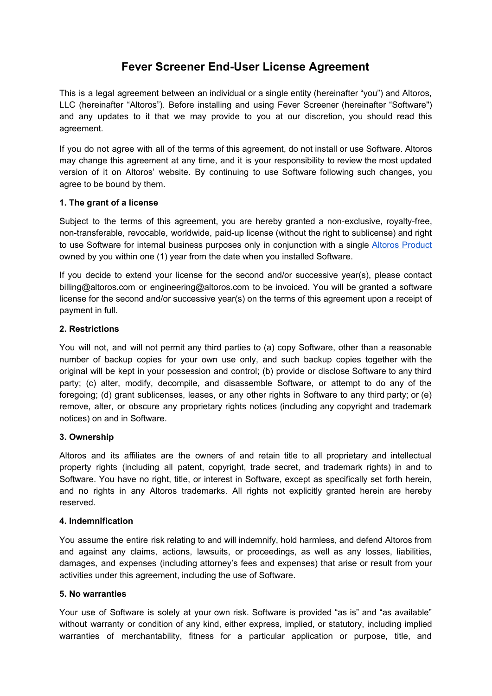# **Fever Screener End-User License Agreement**

This is a legal agreement between an individual or a single entity (hereinafter "you") and Altoros, LLC (hereinafter "Altoros"). Before installing and using Fever Screener (hereinafter "Software") and any updates to it that we may provide to you at our discretion, you should read this agreement.

If you do not agree with all of the terms of this agreement, do not install or use Software. Altoros may change this agreement at any time, and it is your responsibility to review the most updated version of it on Altoros' website. By continuing to use Software following such changes, you agree to be bound by them.

# **1. The grant of a license**

Subject to the terms of this agreement, you are hereby granted a non-exclusive, royalty-free, non-transferable, revocable, worldwide, paid-up license (without the right to sublicense) and right to use Software for internal business purposes only in conjunction with a single Altoros [Product](https://www.altoros.com/solutions/mass-fever-screener-with-ai#tabsSection) owned by you within one (1) year from the date when you installed Software.

If you decide to extend your license for the second and/or successive year(s), please contact billing@altoros.com or engineering@altoros.com to be invoiced. You will be granted a software license for the second and/or successive year(s) on the terms of this agreement upon a receipt of payment in full.

# **2. Restrictions**

You will not, and will not permit any third parties to (a) copy Software, other than a reasonable number of backup copies for your own use only, and such backup copies together with the original will be kept in your possession and control; (b) provide or disclose Software to any third party; (c) alter, modify, decompile, and disassemble Software, or attempt to do any of the foregoing; (d) grant sublicenses, leases, or any other rights in Software to any third party; or (e) remove, alter, or obscure any proprietary rights notices (including any copyright and trademark notices) on and in Software.

# **3. Ownership**

Altoros and its affiliates are the owners of and retain title to all proprietary and intellectual property rights (including all patent, copyright, trade secret, and trademark rights) in and to Software. You have no right, title, or interest in Software, except as specifically set forth herein, and no rights in any Altoros trademarks. All rights not explicitly granted herein are hereby reserved.

# **4. Indemnification**

You assume the entire risk relating to and will indemnify, hold harmless, and defend Altoros from and against any claims, actions, lawsuits, or proceedings, as well as any losses, liabilities, damages, and expenses (including attorney's fees and expenses) that arise or result from your activities under this agreement, including the use of Software.

# **5. No warranties**

Your use of Software is solely at your own risk. Software is provided "as is" and "as available" without warranty or condition of any kind, either express, implied, or statutory, including implied warranties of merchantability, fitness for a particular application or purpose, title, and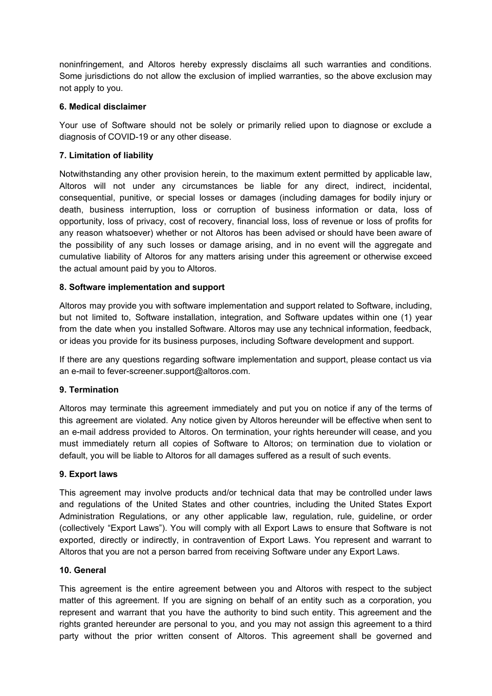noninfringement, and Altoros hereby expressly disclaims all such warranties and conditions. Some jurisdictions do not allow the exclusion of implied warranties, so the above exclusion may not apply to you.

# **6. Medical disclaimer**

Your use of Software should not be solely or primarily relied upon to diagnose or exclude a diagnosis of COVID-19 or any other disease.

# **7. Limitation of liability**

Notwithstanding any other provision herein, to the maximum extent permitted by applicable law, Altoros will not under any circumstances be liable for any direct, indirect, incidental, consequential, punitive, or special losses or damages (including damages for bodily injury or death, business interruption, loss or corruption of business information or data, loss of opportunity, loss of privacy, cost of recovery, financial loss, loss of revenue or loss of profits for any reason whatsoever) whether or not Altoros has been advised or should have been aware of the possibility of any such losses or damage arising, and in no event will the aggregate and cumulative liability of Altoros for any matters arising under this agreement or otherwise exceed the actual amount paid by you to Altoros.

# **8. Software implementation and support**

Altoros may provide you with software implementation and support related to Software, including, but not limited to, Software installation, integration, and Software updates within one (1) year from the date when you installed Software. Altoros may use any technical information, feedback, or ideas you provide for its business purposes, including Software development and support.

If there are any questions regarding software implementation and support, please contact us via an e-mail to fever-screener.support@altoros.com.

# **9. Termination**

Altoros may terminate this agreement immediately and put you on notice if any of the terms of this agreement are violated. Any notice given by Altoros hereunder will be effective when sent to an e-mail address provided to Altoros. On termination, your rights hereunder will cease, and you must immediately return all copies of Software to Altoros; on termination due to violation or default, you will be liable to Altoros for all damages suffered as a result of such events.

### **9. Export laws**

This agreement may involve products and/or technical data that may be controlled under laws and regulations of the United States and other countries, including the United States Export Administration Regulations, or any other applicable law, regulation, rule, guideline, or order (collectively "Export Laws"). You will comply with all Export Laws to ensure that Software is not exported, directly or indirectly, in contravention of Export Laws. You represent and warrant to Altoros that you are not a person barred from receiving Software under any Export Laws.

### **10. General**

This agreement is the entire agreement between you and Altoros with respect to the subject matter of this agreement. If you are signing on behalf of an entity such as a corporation, you represent and warrant that you have the authority to bind such entity. This agreement and the rights granted hereunder are personal to you, and you may not assign this agreement to a third party without the prior written consent of Altoros. This agreement shall be governed and